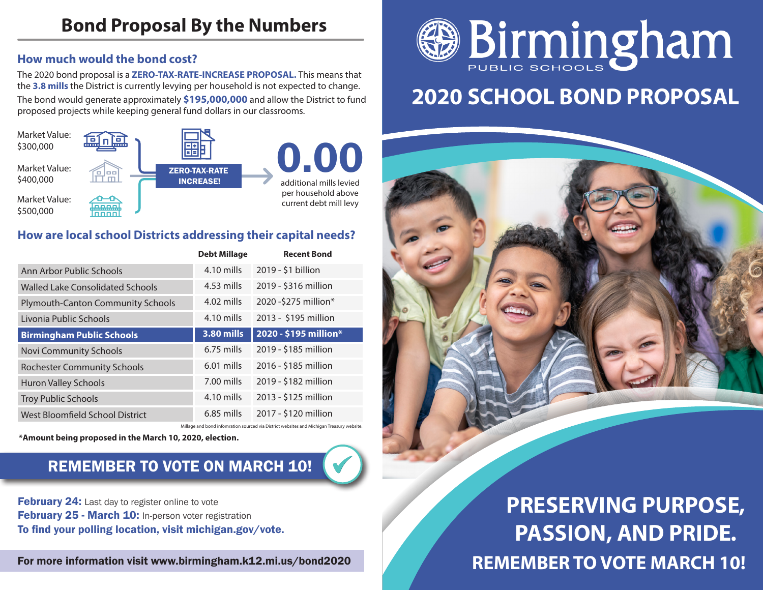#### **How much would the bond cost?**

The 2020 bond proposal is a **ZERO-TAX-RATE-INCREASE PROPOSAL.** This means that the **3.8 mills** the District is currently levying per household is not expected to change. The bond would generate approximately **\$195,000,000** and allow the District to fund proposed projects while keeping general fund dollars in our classrooms.



#### **How are local school Districts addressing their capital needs?**

|                                          | <b>Debt Millage</b> | <b>Recent Bond</b>    |
|------------------------------------------|---------------------|-----------------------|
| Ann Arbor Public Schools                 | 4.10 mills          | 2019 - \$1 billion    |
| Walled Lake Consolidated Schools         | 4.53 mills          | 2019 - \$316 million  |
| <b>Plymouth-Canton Community Schools</b> | $4.02$ mills        | 2020 - \$275 million* |
| Livonia Public Schools                   | 4.10 mills          | 2013 - \$195 million  |
| <b>Birmingham Public Schools</b>         | <b>3.80 mills</b>   | 2020 - \$195 million* |
| Novi Community Schools                   | $6.75$ mills        | 2019 - \$185 million  |
| <b>Rochester Community Schools</b>       | $6.01$ mills        | 2016 - \$185 million  |
| <b>Huron Valley Schools</b>              | 7.00 mills          | 2019 - \$182 million  |
| <b>Troy Public Schools</b>               | 4.10 mills          | 2013 - \$125 million  |
| West Bloomfield School District          | $6.85$ mills        | 2017 - \$120 million  |
|                                          |                     |                       |

**\*Amount being proposed in the March 10, 2020, election.**

### REMEMBER TO VOTE ON MARCH 10!

**February 24:** Last day to register online to vote February 25 - March 10: In-person voter registration To find your polling location, visit michigan.gov/vote.

For more information visit www.birmingham.k12.mi.us/bond2020



# **2020 SCHOOL BOND PROPOSAL**



**REMEMBER TO VOTE MARCH 10! PRESERVING PURPOSE, PASSION, AND PRIDE.**